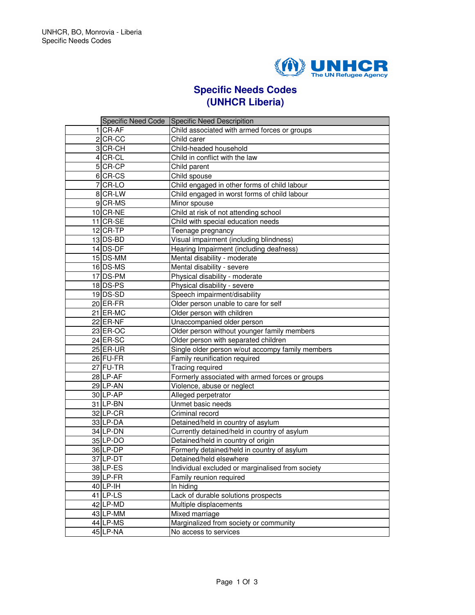

## **Specific Needs Codes (UNHCR Liberia)**

|            | Specific Need Code Specific Need Descripition    |
|------------|--------------------------------------------------|
| 1 CR-AF    | Child associated with armed forces or groups     |
| $2$ CR-CC  | Child carer                                      |
| 3 CR-CH    | Child-headed household                           |
| 4 CR-CL    | Child in conflict with the law                   |
| 5 CR-CP    | Child parent                                     |
| 6 CR-CS    | Child spouse                                     |
| 7 CR-LO    | Child engaged in other forms of child labour     |
| 8 CR-LW    | Child engaged in worst forms of child labour     |
| 9 CR-MS    | Minor spouse                                     |
| 10 CR-NE   | Child at risk of not attending school            |
| $11$ CR-SE | Child with special education needs               |
| $12$ CR-TP | Teenage pregnancy                                |
| $13$ DS-BD | Visual impairment (including blindness)          |
| 14 DS-DF   | Hearing Impairment (including deafness)          |
| 15 DS-MM   | Mental disability - moderate                     |
| 16 DS-MS   | Mental disability - severe                       |
| 17 DS-PM   | Physical disability - moderate                   |
| 18 DS-PS   | Physical disability - severe                     |
| 19 DS-SD   | Speech impairment/disability                     |
| 20 ER-FR   | Older person unable to care for self             |
| 21 ER-MC   | Older person with children                       |
| $22$ ER-NF | Unaccompanied older person                       |
| 23 ER-OC   | Older person without younger family members      |
| 24 ER-SC   | Older person with separated children             |
| $25$ ER-UR | Single older person w/out accompy family members |
| 26 FU-FR   | Family reunification required                    |
| 27 FU-TR   | Tracing required                                 |
| 28 LP-AF   | Formerly associated with armed forces or groups  |
| 29 LP-AN   | Violence, abuse or neglect                       |
| 30 LP-AP   | Alleged perpetrator                              |
| 31 LP-BN   | Unmet basic needs                                |
| 32 LP-CR   | Criminal record                                  |
| 33 LP-DA   | Detained/held in country of asylum               |
| 34 LP-DN   | Currently detained/held in country of asylum     |
| 35 LP-DO   | Detained/held in country of origin               |
| 36LP-DP    | Formerly detained/held in country of asylum      |
| 37 LP-DT   | Detained/held elsewhere                          |
| 38ILP-ES   | Individual excluded or marginalised from society |
| 39 LP-FR   | Family reunion required                          |
| 40 LP-IH   | In hiding                                        |
| $41$ LP-LS | Lack of durable solutions prospects              |
| 42 LP-MD   | Multiple displacements                           |
| 43 LP-MM   | Mixed marriage                                   |
| 44 LP-MS   | Marginalized from society or community           |
| 45 LP-NA   | No access to services                            |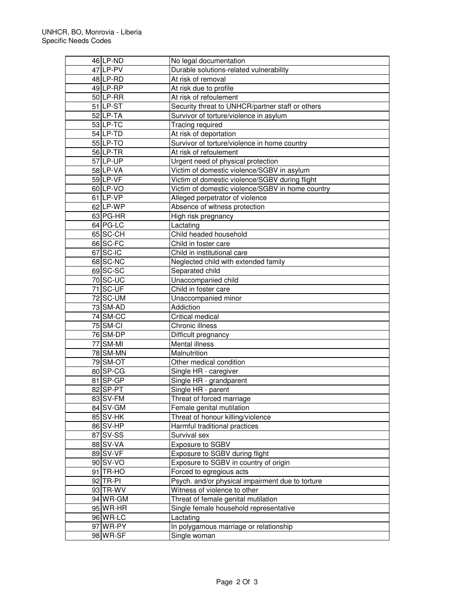| 46 LP-ND        | No legal documentation                           |
|-----------------|--------------------------------------------------|
| 47 LP-PV        | Durable solutions-related vulnerability          |
| 48 LP-RD        | At risk of removal                               |
| 49 LP-RP        | At risk due to profile                           |
| 50 LP-RR        | At risk of refoulement                           |
| $51$ LP-ST      | Security threat to UNHCR/partner staff or others |
| 52LP-TA         | Survivor of torture/violence in asylum           |
| 53 LP-TC        | Tracing required                                 |
| 54 LP-TD        | At risk of deportation                           |
| 55 LP-TO        | Survivor of torture/violence in home country     |
| $56$ LP-TR      | At risk of refoulement                           |
| 57 LP-UP        | Urgent need of physical protection               |
| 58 LP-VA        | Victim of domestic violence/SGBV in asylum       |
| 59 LP-VF        | Victim of domestic violence/SGBV during flight   |
| 60 LP-VO        | Victim of domestic violence/SGBV in home country |
| 61 LP-VP        | Alleged perpetrator of violence                  |
| 62 LP-WP        | Absence of witness protection                    |
| 63 PG-HR        | High risk pregnancy                              |
| 64 PG-LC        | Lactating                                        |
| 65 SC-CH        | Child headed household                           |
| 66 SC-FC        | Child in foster care                             |
| 67 SC-IC        | Child in institutional care                      |
| 68 SC-NC        | Neglected child with extended family             |
| 69 SC-SC        | Separated child                                  |
| 70 SC-UC        | Unaccompanied child                              |
| 71 SC-UF        | Child in foster care                             |
| 72 SC-UM        | Unaccompanied minor                              |
| <b>73 SM-AD</b> | Addiction                                        |
| 74 SM-CC        | Critical medical                                 |
| 75 SM-CI        | Chronic illness                                  |
| <b>76 SM-DP</b> | Difficult pregnancy                              |
| 77 SM-MI        | Mental illness                                   |
| <b>78 SM-MN</b> | Malnutrition                                     |
| 79 SM-OT        | Other medical condition                          |
| 80 SP-CG        | Single HR - caregiver                            |
| 81 SP-GP        | Single HR - grandparent                          |
| 82 SP-PT        | Single HR - parent                               |
| 83 SV-FM        | Threat of forced marriage                        |
| 84 SV-GM        | Female genital mutilation                        |
| 85 SV-HK        | Threat of honour killing/violence                |
| 86 SV-HP        | Harmful traditional practices                    |
| 87 SV-SS        | Survival sex                                     |
| 88 SV-VA        | Exposure to SGBV                                 |
| 89 SV-VF        | Exposure to SGBV during flight                   |
| 90 SV-VO        | Exposure to SGBV in country of origin            |
| 91 TR-HO        | Forced to egregious acts                         |
| 92 TR-PI        | Psych. and/or physical impairment due to torture |
| 93 TR-WV        | Witness of violence to other                     |
|                 | Threat of female genital mutilation              |
| 94 WR-GM        |                                                  |
| 95 WR-HR        | Single female household representative           |
| 96 WR-LC        | Lactating                                        |
| 97 WR-PY        | In polygamous marriage or relationship           |
| 98 WR-SF        | Single woman                                     |